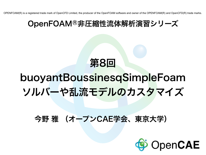OPENFOAM(R) is a registered trade mark of OpenCFD Limited, the producer of the OpenFOAM software and owner of the OPENFOAM(R) and OpenCFD(R) trade marks.

#### OpenFOAM®非圧縮性流体解析演習シリーズ

### 第8回

### buoyantBoussinesqSimpleFoam ソルバーや乱流モデルのカスタマイズ

#### 今野 雅 (オープンCAE学会、東京大学)

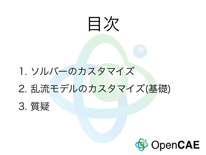# 目次

### 1. ソルバーのカスタマイズ

### 2. 乱流モデルのカスタマイズ(基礎)

3. 質疑

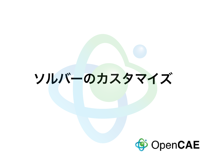### ソルバーのカスタマイズ

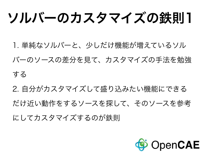# ソルバーのカスタマイズの鉄則1

1. 単純なソルバーと、少しだけ機能が増えているソル バーのソースの差分を見て、カスタマイズの手法を勉強 する

2. 自分がカスタマイズして盛り込みたい機能にできる だけ近い動作をするソースを探して、そのソースを参考 にしてカスタマイズするのが鉄則

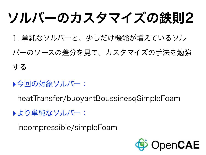# ソルバーのカスタマイズの鉄則2

1. 単純なソルバーと、少しだけ機能が増えているソル

バーのソースの差分を見て、カスタマイズの手法を勉強

する

▶今回の対象ソルバー:

heatTransfer/buoyantBoussinesqSimpleFoam

▶より単純なソルバー:

incompressible/simpleFoam

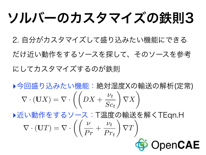## ソルバーのカスタマイズの鉄則3

2. 自分がカスタマイズして盛り込みたい機能にできる

だけ近い動作をするソースを探して、そのソースを参考 にしてカスタマイズするのが鉄則

▶今回盛り込みたい機能:絶対湿度Xの輸送の解析(定常)  $\nabla \cdot (\mathbf{U}X) = \nabla \cdot$  $\left(\left(DX + \frac{\nu_t}{\alpha}\right)\right)$ *Sc<sup>t</sup>*  $\sum$ *X*  $\sum$ 

‣近い動作をするソース:T温度の輸送を解くTEqn.H  $\int\int v$  $\sum$  $\sum$  $\nu_t$  $\nabla \cdot (\mathbf{U}T) = \nabla \cdot$  $\frac{\nu}{Pr}$  +  $\nabla T$  $Pr_t$ OpenCAE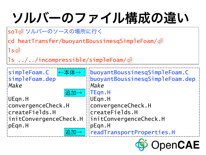# ソルバーのファイル構成の違い

sol<リソルバーのソースの場所に行く

cd heatTransfer/buoyantBoussinesqSimpleFoam/ $\circ$ 

 $\mathsf{ls}\mathcal{\Leftrightarrow}$ 

ls ../../incompressible/simpleFoam/ $\circ$ 

| simpleFoam.C<br>本体→    | : buoyantBoussinesqSimpleFoam.C |  |  |
|------------------------|---------------------------------|--|--|
| simpleFoam.dep         | buoyantBoussinesqSimpleFoam.dep |  |  |
| <i>Make</i>            | Make                            |  |  |
| 追加→                    | $ $ TEqn.H                      |  |  |
| UEqn.H                 | $\frac{1}{2}$ : UEqn.H          |  |  |
| convergenceCheck.H     | :: convergenceCheck.H           |  |  |
| createFields.H         | :: createFields.H               |  |  |
| initConvergenceCheck.H | ::initConvergenceCheck.H        |  |  |
| :pEqn.H                | $:$ : $pEqn$ . H                |  |  |
| 追加→                    | readTransportProperties.H       |  |  |
|                        |                                 |  |  |

OpenCAE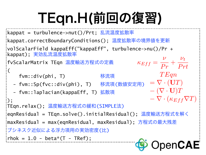# TEqn.H(前回の復習)

```
kappat = turbulence->nut()/Prt; 乱流温度拡散率
kappat.correctBoundaryConditions(); 温度拡散率の境界値を更新
volScalarField kappaEff("kappaEff", turbulence->nu()/Pr + 
kappat); 実効乱流温度拡散率
                                                        \boldsymbol{\nu}\nu_t\kappa_{Eff} =\frac{\nu}{Pr} +
fvScalarMatrix TEqn 温度輸送方程式の定義
                                                              Prt
\overline{C}TEqn
     fvm::div(phi, T) 移流項 
                                                   = \nabla \cdot (\mathbf{U}T) - fvm::Sp(fvc::div(phi), T) 移流項(数値安定用)
                                                   \mathbf{-}(\nabla\cdot\mathbf{U})T - fvm::laplacian(kappaEff, T) 拡散項
                                                   -\nabla \cdot (\kappa_{Eff}\nabla T)); 
TEqn.relax(); 温度輸送方程式の緩和(SIMPLE法)
eqnResidual = TEqn.solve().initialResidual(); 温度輸送方程式を解く
maxResidual = max(eqnResidual, maxResidual); 方程式の最大残差
ブシネスク近似による浮力項用の実効密度(比)
:rhok = 1.0 - beta*(T - TRef);
                                                    OpenCAE
```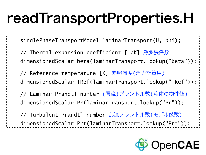## readTransportProperties.H

singlePhaseTransportModel laminarTransport(U, phi);

// Thermal expansion coefficient [1/K] 熱膨張係数 dimensionedScalar beta(laminarTransport.lookup("beta"));

 // Reference temperature [K] 参照温度(浮力計算用) dimensionedScalar TRef(laminarTransport.lookup("TRef"));

 // Laminar Prandtl number (層流)プラントル数(流体の物性値) dimensionedScalar Pr(laminarTransport.lookup("Pr"));

 // Turbulent Prandtl number 乱流プラントル数(モデル係数) dimensionedScalar Prt(laminarTransport.lookup("Prt"));

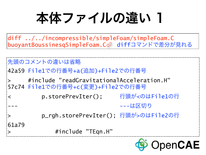本体ファイルの違い 1

diff ../../incompressible/simpleFoam/simpleFoam.C buoyantBoussinesqSimpleFoam.C㾑 diffコマンドで差分が見れる

```
先頭のコメントの違いは省略
42a59 File1での行番号+a(追加)+File2での行番号
     > #include "readGravitationalAcceleration.H" 
57c74 File1での行番号+c(変更)+File2での行番号
< p.storePrevIter(); 行頭が<のはFile1の行
                            --- ---は区切り
> p_rgh.storePrevIter(); 行頭が>のはFile2の行
61a79#include "TEqn.H"
```
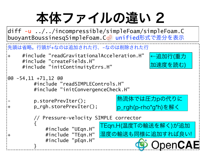## 本体ファイルの違い 2

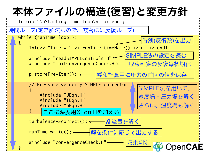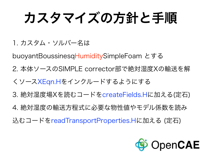# カスタマイズの方針と手順

1. カスタム・ソルバー名は

buoyantBoussinesqHumiditySimpleFoam とする

2. 本体ソースのSIMPLE corrector部で絶対湿度Xの輸送を解

くソースXEqn.Hをインクルードするようにする

3. 絶対湿度場Xを読むコードをcreateFields.Hに加える(定石)

4. 絶対湿度の輸送方程式に必要な物性値やモデル係数を読み

込むコードをreadTransportProperties.Hに加える (定石)

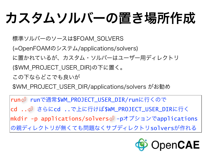# カスタムソルバーの置き場所作成

標準ソルバーのソースは\$FOAM\_SOLVERS

(=OpenFOAMのシステム/applications/solvers)

に置かれているが、カスタム・ソルバーはユーザー用ディレクトリ

(\$WM\_PROJECT\_USER\_DIR)の下に置く。

この下ならどこでも良いが

\$WM\_PROJECT\_USER\_DIR/applications/solvers がお勧め

run㾑 runで通常\$WM\_PROJECT\_USER\_DIR/runに行くので cd ..㾑 さらにcd ..で上に行けば\$WM\_PROJECT\_USER\_DIRに行く mkdir -p applications/solvers<リ-pオプションでapplications の親ディレクトリが無くても問題なくサブディレクトリsolversが作れる

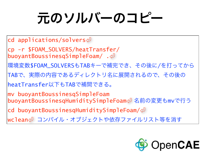# 元のソルバーのコピー

cd applications/solvers $\circ$ cp -r \$FOAM\_SOLVERS/heatTransfer/ buoyantBoussinesqSimpleFoam/. $\oplus$ 環境変数\$FOAM\_SOLVERSもTABキーで補完でき、その後に/を打ってから TABで、実際の内容であるディレクトリ名に展開されるので、その後の heatTransfer以下もTABで補間できる。 mv buoyantBoussinesqSimpleFoam buoyantBoussinesqHumiditySimpleFoam㾑 名前の変更もmvで行う cd buoyantBoussinesqHumiditySimpleFoam/ $\circ$ wclean㾑 コンパイル・オブジェクトや依存ファイルリスト等を消す

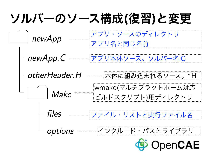#### ソルバーのソース構成(復習)と変更 アプリ・ソースのディレクトリ newApp アプリ名と同じ名前 newApp.C アプリ本体ソース。ソルバー名.C otherHeader.H 本体に組み込まれるソース。\*.H wmake(マルチプラットホーム対応 Make ビルドスクリプト)用ディレクトリ files ファイル・リストと実行ファイル名 インクルード・パスとライブラリ options OpenCAE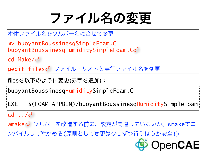## ファイル名の変更

本体ファイル名をソルバー名に合せて変更 mv buoyantBoussinesqSimpleFoam.C buoyantBoussinesqHumiditySimpleFoam.C $\varphi$ cd Make/ gedit files⇔ ファイル・リストと実行ファイル名を変更 buoyantBoussinesqHumiditySimpleFoam.C filesを以下のように変更(赤字を追加):

EXE = \$(FOAM\_APPBIN)/buoyantBoussinesqHumiditySimpleFoam

 $cd \cdot \sqrt{4}$ 

wmake㾑 ソルバーを改造する前に、設定が間違っていないか、wmakeでコ ンパイルして確かめる(原則として変更は少しずつ行うほうが安全!)

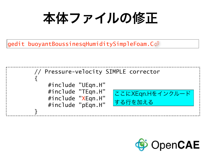本体ファイルの修正

 $|$ gedit buoyantBoussinesqHumiditySimpleFoam.C $\mathop{\subset}\limits^{\mathop{\cup}}$ 



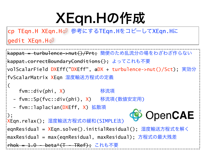# XEqn.Hの作成

cp TEqn.H XEqn.H㾑 参考にするTEqn.HをコピーしてXEqn.Hに gedit XEqn.H㾑

```
kappat = turbulence->nut()/Prt; 簡便のため乱流分の場をわざわざ作らない
kappat.correctBoundaryConditions(); よってこれも不要
volScalarField DXEff("DXEff", aDX + turbulence->nut()/Sct); 実効分
fvScalarMatrix XEqn 湿度輸送方程式の定義
\overline{C} fvm::div(phi, X) 移流項 
  - fvm::Sp(fvc::div(phi), X) 移流項(数値安定用)
  - fvm::laplacian(DXEff, X) 拡散項
                                          OpenCAE
); 
XEqn.relax(); 湿度輸送方程式の緩和(SIMPLE法)
eqnResidual = XEqn.solve().initialResidual(); 湿度輸送方程式を解く
maxResidual = max(eqnResidual, maxResidual); 方程式の最大残差
rhok = 1.0 - beta* (T - TRef); これも不要
```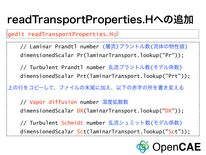### readTransportProperties.Hへの追加

gedit readTransportProperties.H $\phi$ 

 // Laminar Prandtl number (層流)プラントル数(流体の物性値) dimensionedScalar Pr(laminarTransport.lookup("Pr"));

 // Turbulent Prandtl number 乱流プラントル数(モデル係数) dimensionedScalar Prt(laminarTransport.lookup("Prt"));

上の行をコピーして、ファイルの末尾に加え、以下の赤字の所を書き変える

 // Vapor diffusion number 湿度拡散数 dimensionedScalar DX(laminarTransport.lookup("DX"));

 // Turbulent Schmidt number 乱流シュミット数(モデル係数) dimensionedScalar Sct(laminarTransport.lookup("Sct"));

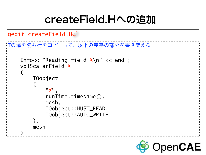### createField.Hへの追加

```
gedit createField.H㾑
```

```
Tの場を読む行をコピーして、以下の赤字の部分を書き変える
     Info<< "Reading field X\n" << endl; 
     volScalarField X
\overline{a} IOobject 
\overline{a} "X", 
             runTime.timeName(),
              mesh, 
              IOobject::MUST_READ, 
              IOobject::AUTO_WRITE 
          ), 
          mesh 
     );
```
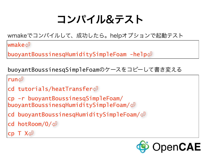### コンパイル&テスト

wmakeでコンパイルして、成功したら。helpオプションで起動テスト

 $\sf{wmake} \triangleleft I$ 

buoyantBoussinesqHumiditySimpleFoam -help $\circ$ 

buoyantBoussinesqSimpleFoamのケースをコピーして書き変える

run

```
cd tutorials/heatTransfer
```
cp -r buoyantBoussinesqSimpleFoam/ buoyantBoussinesqHumiditySimpleFoam/ $\circ$ 

```
cd buoyantBoussinesqHumiditySimpleFoam/\circ
```
cd hotRoom/ $0/\sqrt{2}$ 

 $ep T X \triangleleft$ 

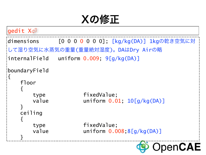Xの修正

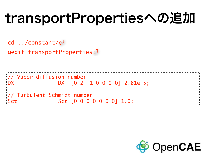# transportPropertiesへの追加

cd ../constant/ $\circ$ 

 $q$ edit transportProperties $\mathcal{L}$ 

// Vapor diffusion number DX DX [0 2 -1 0 0 0 0] 2.61e-5; // Turbulent Schmidt number Sct [0 0 0 0 0 0 0] 1.0;

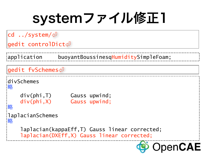## systemファイル修正1

)pen**CAE** 

cd ../system/ $\circ$ 

gedit controlDict

application buoyantBoussinesqHumiditySimpleFoam;

```
gedit fvSchemes㾑
divSchemes 
略
     div(phi,T) Gauss upwind; 
     div(phi,X) Gauss upwind; 
略
laplacianSchemes 
略
     laplacian(kappaEff,T) Gauss linear corrected; 
     laplacian(DXEff,X) Gauss linear corrected;
```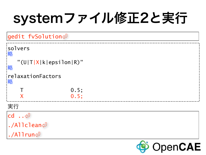# systemファイル修正2と実行

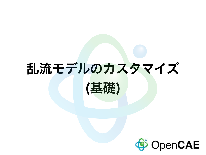### 乱流モデルのカスタマイズ



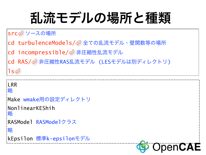## 乱流モデルの場所と種類

#### src<リソースの場所

- cd turbulenceModels/<リ全ての乱流モデル・壁関数等の場所
- cd incompressible/<リ非圧縮性乱流モデル
- cd RAS/<リ非圧縮性RAS乱流モデル (LESモデルは別ディレクトリ)

```
\mathsf{ls}\mathcal{\Leftrightarrow}
```

```
LIRR
略 
Make wmake用の設定ディレクトリ
NonlinearKEShih 
略
RASModel RASModelクラス
略
kEpsilon 標準k-epsilonモデル
```
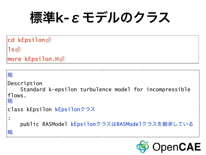### 標準k-εモデルのクラス

```
cd kEpsilon
\mathsf{ls}\n\leftarrow<code>more kEpsilon.H\circlearrowleft</code>
略
Description 
     Standard k-epsilon turbulence model for incompressible 
flows. 
略
class kEpsilon kEpsilonクラス
: 
     public RASModel kEpsilonクラスはRASModelクラスを継承している
略OpenCAE
```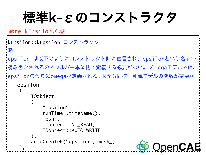## 標準k-εのコンストラクタ

 $|{\sf more}$  kEpsilon. $\mathsf{C}\mathcal{\mathcal{\mathcal{P}}}$ 

```
kEpsilon::kEpsilon コンストラクタ
略
epsilon_は以下のようにコンストラクト時に宣言され、epsilonという名前で
読み書きされるのでソルバー本体側で定義する必要がない。kOmegaモデルでは、
epsilonの代りにomegaが定義される。k等も同様→乱流モデルの変数が変更可
    epsilon_ 
\overline{a} IOobject 
\overline{a} "epsilon", 
           runTime_.timeName(), 
           mesh_, 
           IOobject::NO_READ, 
           IOobject::AUTO_WRITE 
        ), 
        autoCreateK("epsilon", mesh_) 
                                             \mathsf{OpenCAE} ),
```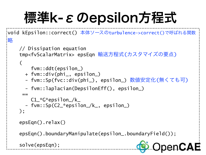# 標準k-εのepsilon方程式

```
void kEpsilon::correct() 本体ソースのturbulence->correct()で呼ばれる関数
略
     // Dissipation equation 
     tmp<fvScalarMatrix> epsEqn 輸送方程式(カスタマイズの要点)
    \big( fvm::ddt(epsilon_) 
       + fvm::div(phi_, epsilon_) 
       - fvm::Sp(fvc::div(phi_), epsilon_) 数値安定化(無くても可)
       - fvm::laplacian(DepsilonEff(), epsilon_) 
= C1_*G*epsilon_/k_ 
       - fvm::Sp(C2_*epsilon_/k_, epsilon_) 
     ); 
     epsEqn().relax() 
     epsEqn().boundaryManipulate(epsilon_.boundaryField()); 
                                                    penCAE
     solve(epsEqn);
```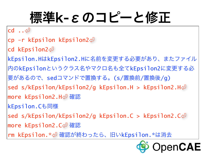## 標準k-εのコピーと修正

 $cd \cdot \triangleleft$ 

cp -r kEpsilon kEpsilon2 cd kEpsilon2㾑 kEpsilon.HはkEpsilon2.Hに名前を変更する必要があり、またファイル 内のkEpsilonというクラス名やマクロ名も全てkEpsilon2に変更する必 要があるので、sedコマンドで置換する。(s/置換前/置換後/g) sed s/kEpsilon/kEpsilon2/g kEpsilon.H > kEpsilon2.H $\circ$ more kEpsilon2.H㾑 確認 kEpsilon.Cも同様 sed s/kEpsilon/kEpsilon2/g kEpsilon.C > kEpsilon2.C $\circ$ more kEpsilon2.C㾑 確認 rm kEpsilon.\*⇔ 確認が終わったら、旧いkEpsilon.\*は消去

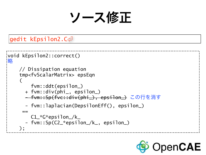ソース修正

#### gedit kEpsilon2.C㾑

```
void kEpsilon2::correct() 
略
     // Dissipation equation 
     tmp<fvScalarMatrix> epsEqn 
\overline{a} fvm::ddt(epsilon_) 
       + fvm::div(phi_, epsilon_) 
       - fvm::Sp(fvc::div(phi_), epsilon_) この行を消す
        - fvm::laplacian(DepsilonEff(), epsilon_) 
= C1_*G*epsilon_/k_ 
       - fvm::Sp(C2_*epsilon_/k_, epsilon_) 
     );
```
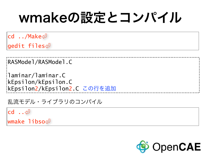## wmakeの設定とコンパイル

cd  $.$  /Make $\circ$ gedit files㾑

RASModel/RASModel.C

laminar/laminar.C kEpsilon/kEpsilon.C kEpsilon2/kEpsilon2.C この行を追加

乱流モデル・ライブラリのコンパイル

 $cd \cdot . \Leftrightarrow$ 

wmake libso<

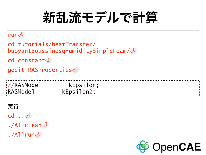# 新乱流モデルで計算

#### run

```
cd tutorials/heatTransfer/
buoyantBoussinesqHumiditySimpleFoam/\circcd constant
gedit RASProperties
```

| ://RASModel<br>kEpsilon;<br><b>RASModel</b><br>kEpsilon2; |  |  |
|-----------------------------------------------------------|--|--|
|                                                           |  |  |
|                                                           |  |  |

#### 実行

 $cd \cdot . \Leftrightarrow$ ./Allclean $\varphi$  $.$ /Allrun $\circlearrowleft$